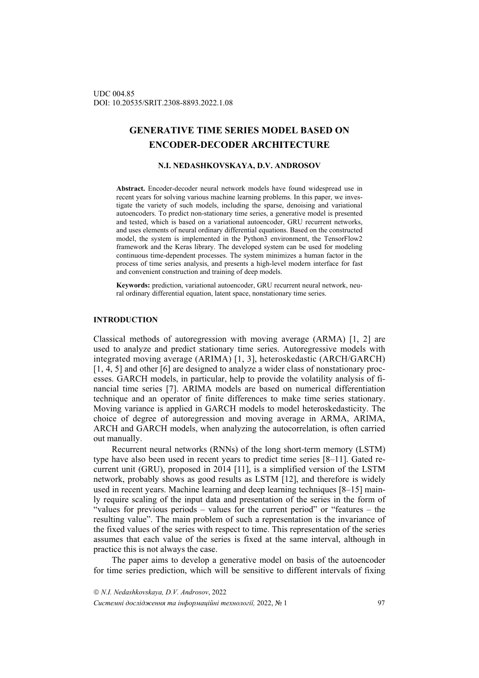# **GENERATIVE TIME SERIES MODEL BASED ON ENCODER-DECODER ARCHITECTURE**

### **N.I. NEDASHKOVSKAYA, D.V. ANDROSOV**

**Abstract.** Encoder-decoder neural network models have found widespread use in recent years for solving various machine learning problems. In this paper, we investigate the variety of such models, including the sparse, denoising and variational autoencoders. To predict non-stationary time series, a generative model is presented and tested, which is based on a variational autoencoder, GRU recurrent networks, and uses elements of neural ordinary differential equations. Based on the constructed model, the system is implemented in the Python3 environment, the TensorFlow2 framework and the Keras library. The developed system can be used for modeling continuous time-dependent processes. The system minimizes a human factor in the process of time series analysis, and presents a high-level modern interface for fast and convenient construction and training of deep models.

**Keywords:** prediction, variational autoencoder, GRU recurrent neural network, neural ordinary differential equation, latent space, nonstationary time series.

#### **INTRODUCTION**

Classical methods of autoregression with moving average (ARMA) [1, 2] are used to analyze and predict stationary time series. Autoregressive models with integrated moving average (ARIMA) [1, 3], heteroskedastic (ARCH/GARCH) [1, 4, 5] and other [6] are designed to analyze a wider class of nonstationary processes. GARCH models, in particular, help to provide the volatility analysis of financial time series [7]. ARIMA models are based on numerical differentiation technique and an operator of finite differences to make time series stationary. Moving variance is applied in GARCH models to model heteroskedasticity. The choice of degree of autoregression and moving average in ARMA, ARIMA, ARCH and GARCH models, when analyzing the autocorrelation, is often carried out manually.

Recurrent neural networks (RNNs) of the long short-term memory (LSTM) type have also been used in recent years to predict time series [8–11]. Gated recurrent unit (GRU), proposed in 2014 [11], is a simplified version of the LSTM network, probably shows as good results as LSTM [12], and therefore is widely used in recent years. Machine learning and deep learning techniques [8–15] mainly require scaling of the input data and presentation of the series in the form of "values for previous periods – values for the current period" or "features – the resulting value". The main problem of such a representation is the invariance of the fixed values of the series with respect to time. This representation of the series assumes that each value of the series is fixed at the same interval, although in practice this is not always the case.

The paper aims to develop a generative model on basis of the autoencoder for time series prediction, which will be sensitive to different intervals of fixing

 *N.I. Nedashkovskaya, D.V. Androsov*, 2022 *Системні дослідження та інформаційні технології,* 2022, № 1 97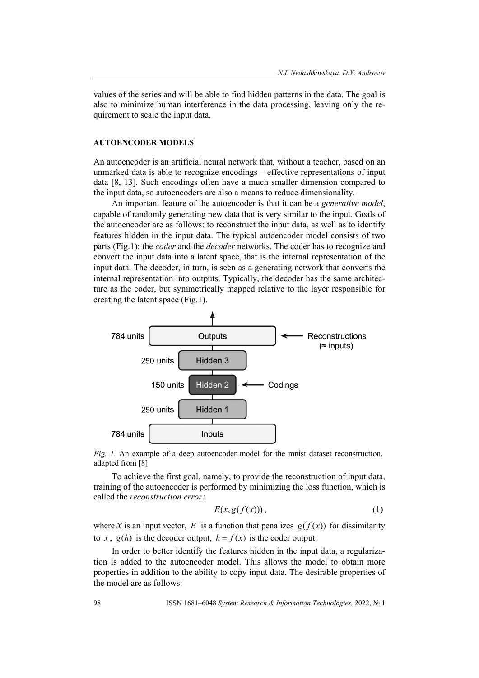values of the series and will be able to find hidden patterns in the data. The goal is also to minimize human interference in the data processing, leaving only the requirement to scale the input data.

## **AUTOENCODER MODELS**

An autoencoder is an artificial neural network that, without a teacher, based on an unmarked data is able to recognize encodings – effective representations of input data [8, 13]. Such encodings often have a much smaller dimension compared to the input data, so autoencoders are also a means to reduce dimensionality.

An important feature of the autoencoder is that it can be a *generative model*, capable of randomly generating new data that is very similar to the input. Goals of the autoencoder are as follows: to reconstruct the input data, as well as to identify features hidden in the input data. The typical autoencoder model consists of two parts (Fig.1): the *coder* and the *decoder* networks. The coder has to recognize and convert the input data into a latent space, that is the internal representation of the input data. The decoder, in turn, is seen as a generating network that converts the internal representation into outputs. Typically, the decoder has the same architecture as the coder, but symmetrically mapped relative to the layer responsible for creating the latent space (Fig.1).



*Fig. 1.* An example of a deep autoencoder model for the mnist dataset reconstruction, adapted from [8]

To achieve the first goal, namely, to provide the reconstruction of input data, training of the autoencoder is performed by minimizing the loss function, which is called the *reconstruction error:*

$$
E(x, g(f(x))), \t(1)
$$

where *x* is an input vector, *E* is a function that penalizes  $g(f(x))$  for dissimilarity to *x*,  $g(h)$  is the decoder output,  $h = f(x)$  is the coder output.

In order to better identify the features hidden in the input data, a regularization is added to the autoencoder model. This allows the model to obtain more properties in addition to the ability to copy input data. The desirable properties of the model are as follows: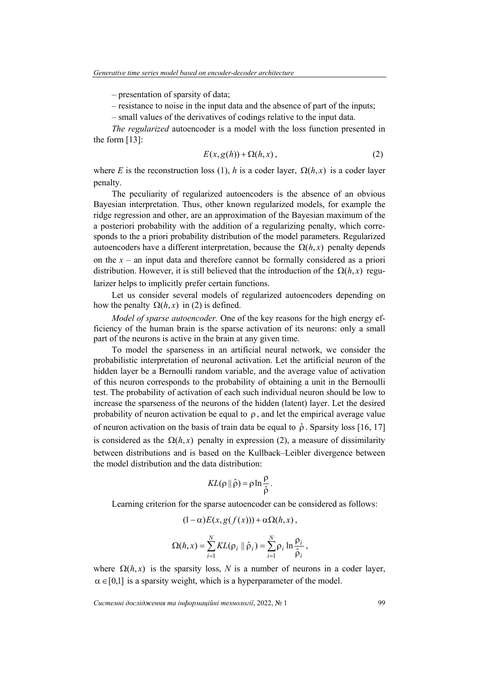– presentation of sparsity of data;

– resistance to noise in the input data and the absence of part of the inputs;

– small values of the derivatives of codings relative to the input data.

*The regularized* autoencoder is a model with the loss function presented in the form [13]:

$$
E(x, g(h)) + \Omega(h, x), \tag{2}
$$

where *E* is the reconstruction loss (1), *h* is a coder layer,  $\Omega(h, x)$  is a coder layer penalty.

The peculiarity of regularized autoencoders is the absence of an obvious Bayesian interpretation. Thus, other known regularized models, for example the ridge regression and other, are an approximation of the Bayesian maximum of the a posteriori probability with the addition of a regularizing penalty, which corresponds to the a priori probability distribution of the model parameters. Regularized autoencoders have a different interpretation, because the  $\Omega(h, x)$  penalty depends on the  $x -$  an input data and therefore cannot be formally considered as a priori distribution. However, it is still believed that the introduction of the  $\Omega(h, x)$  regularizer helps to implicitly prefer certain functions.

Let us consider several models of regularized autoencoders depending on how the penalty  $\Omega(h, x)$  in (2) is defined.

*Model of sparse autoencoder.* One of the key reasons for the high energy efficiency of the human brain is the sparse activation of its neurons: only a small part of the neurons is active in the brain at any given time.

To model the sparseness in an artificial neural network, we consider the probabilistic interpretation of neuronal activation. Let the artificial neuron of the hidden layer be a Bernoulli random variable, and the average value of activation of this neuron corresponds to the probability of obtaining a unit in the Bernoulli test. The probability of activation of each such individual neuron should be low to increase the sparseness of the neurons of the hidden (latent) layer. Let the desired probability of neuron activation be equal to  $\rho$ , and let the empirical average value of neuron activation on the basis of train data be equal to  $\hat{\rho}$ . Sparsity loss [16, 17] is considered as the  $\Omega(h, x)$  penalty in expression (2), a measure of dissimilarity between distributions and is based on the Kullback–Leibler divergence between the model distribution and the data distribution:

$$
KL(\rho \|\hat{\rho}) = \rho \ln \frac{\rho}{\hat{\rho}}.
$$

Learning criterion for the sparse autoencoder can be considered as follows:

$$
(1 - \alpha)E(x, g(f(x))) + \alpha \Omega(h, x),
$$

$$
\Omega(h, x) = \sum_{i=1}^{N} KL(\rho_i \parallel \hat{\rho}_i) = \sum_{i=1}^{N} \rho_i \ln \frac{\rho_i}{\hat{\rho}_i},
$$

where  $\Omega(h, x)$  is the sparsity loss, *N* is a number of neurons in a coder layer,  $\alpha \in [0,1]$  is a sparsity weight, which is a hyperparameter of the model.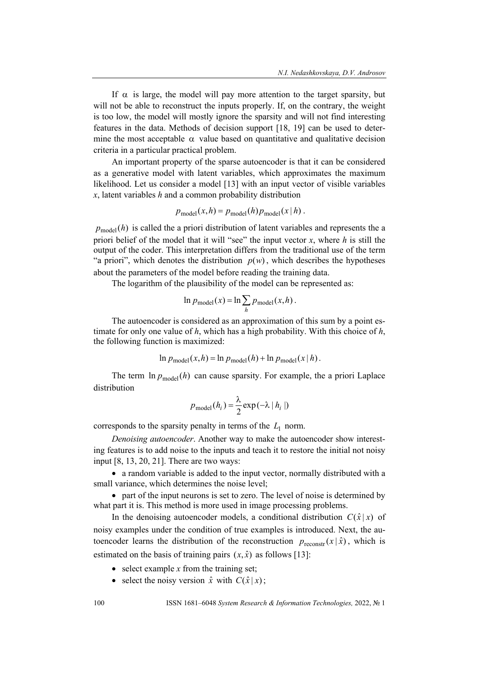If  $\alpha$  is large, the model will pay more attention to the target sparsity, but will not be able to reconstruct the inputs properly. If, on the contrary, the weight is too low, the model will mostly ignore the sparsity and will not find interesting features in the data. Methods of decision support [18, 19] can be used to determine the most acceptable  $\alpha$  value based on quantitative and qualitative decision criteria in a particular practical problem.

An important property of the sparse autoencoder is that it can be considered as a generative model with latent variables, which approximates the maximum likelihood. Let us consider a model [13] with an input vector of visible variables *x*, latent variables *h* and a common probability distribution

$$
p_{\text{model}}(x, h) = p_{\text{model}}(h) p_{\text{model}}(x \mid h).
$$

 $p_{\text{model}}(h)$  is called the a priori distribution of latent variables and represents the a priori belief of the model that it will "see" the input vector *x*, where *h* is still the output of the coder. This interpretation differs from the traditional use of the term "a priori", which denotes the distribution  $p(w)$ , which describes the hypotheses about the parameters of the model before reading the training data.

The logarithm of the plausibility of the model can be represented as:

$$
\ln p_{\text{model}}(x) = \ln \sum_{h} p_{\text{model}}(x, h).
$$

The autoencoder is considered as an approximation of this sum by a point estimate for only one value of *h*, which has a high probability. With this choice of *h*, the following function is maximized:

$$
\ln p_{\text{model}}(x, h) = \ln p_{\text{model}}(h) + \ln p_{\text{model}}(x \mid h).
$$

The term  $\ln p_{\text{model}}(h)$  can cause sparsity. For example, the a priori Laplace distribution

$$
p_{\text{model}}(h_i) = \frac{\lambda}{2} \exp(-\lambda | h_i |)
$$

corresponds to the sparsity penalty in terms of the  $L<sub>1</sub>$  norm.

*Denoising autoencoder*. Another way to make the autoencoder show interesting features is to add noise to the inputs and teach it to restore the initial not noisy input [8, 13, 20, 21]. There are two ways:

 a random variable is added to the input vector, normally distributed with a small variance, which determines the noise level;

 part of the input neurons is set to zero. The level of noise is determined by what part it is. This method is more used in image processing problems.

In the denoising autoencoder models, a conditional distribution  $C(\hat{x} | x)$  of noisy examples under the condition of true examples is introduced. Next, the autoencoder learns the distribution of the reconstruction  $p_{\text{reconst}}(x | \hat{x})$ , which is estimated on the basis of training pairs  $(x, \hat{x})$  as follows [13]:

- $\bullet$  select example *x* from the training set;
- select the noisy version  $\hat{x}$  with  $C(\hat{x} | x)$ ;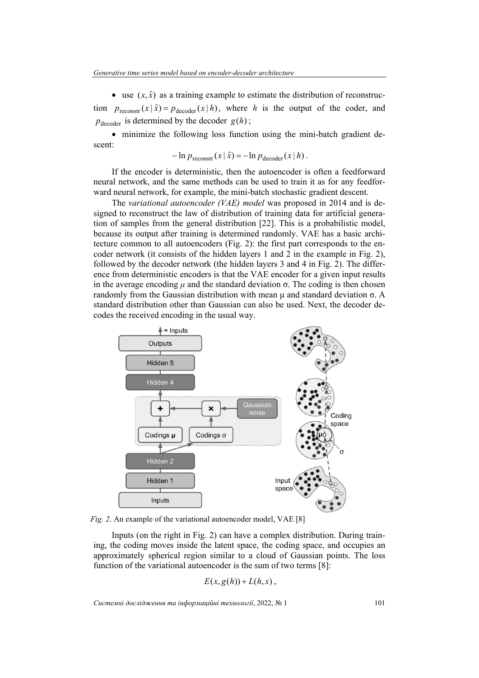• use  $(x, \hat{x})$  as a training example to estimate the distribution of reconstruction  $p_{\text{reconst}}(x | \hat{x}) = p_{\text{decoder}}(x | h)$ , where *h* is the output of the coder, and  $p_{\text{decoder}}$  is determined by the decoder  $g(h)$ ;

 minimize the following loss function using the mini-batch gradient descent:

$$
-\ln p_{\text{reconstr}}(x \mid \hat{x}) = -\ln p_{\text{decoder}}(x \mid h).
$$

If the encoder is deterministic, then the autoencoder is often a feedforward neural network, and the same methods can be used to train it as for any feedforward neural network, for example, the mini-batch stochastic gradient descent.

The *variational autoencoder (VAE) model* was proposed in 2014 and is designed to reconstruct the law of distribution of training data for artificial generation of samples from the general distribution [22]. This is a probabilistic model, because its output after training is determined randomly. VAE has a basic architecture common to all autoencoders (Fig. 2): the first part corresponds to the encoder network (it consists of the hidden layers 1 and 2 in the example in Fig. 2), followed by the decoder network (the hidden layers 3 and 4 in Fig. 2). The difference from deterministic encoders is that the VAE encoder for a given input results in the average encoding  $\mu$  and the standard deviation  $\sigma$ . The coding is then chosen randomly from the Gaussian distribution with mean μ and standard deviation σ. A standard distribution other than Gaussian can also be used. Next, the decoder decodes the received encoding in the usual way.



*Fig. 2*. An example of the variational autoencoder model, VAE [8]

Inputs (on the right in Fig. 2) can have a complex distribution. During training, the coding moves inside the latent space, the coding space, and occupies an approximately spherical region similar to a cloud of Gaussian points. The loss function of the variational autoencoder is the sum of two terms [8]:

$$
E(x,g(h))+L(h,x),
$$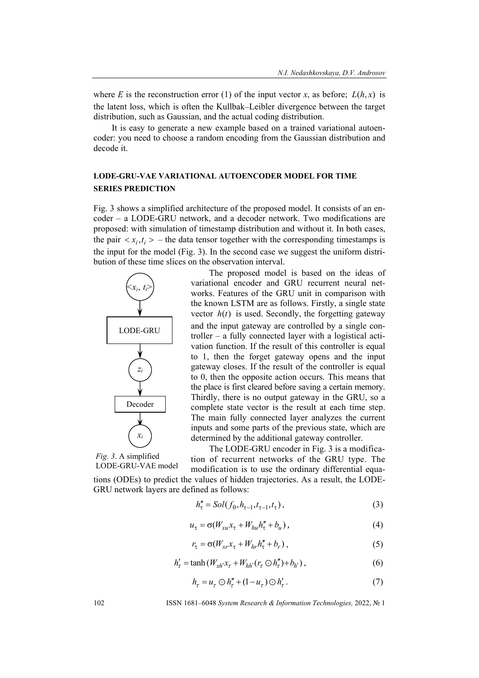where *E* is the reconstruction error (1) of the input vector *x*, as before:  $L(h, x)$  is the latent loss, which is often the Kullbak–Leibler divergence between the target distribution, such as Gaussian, and the actual coding distribution.

It is easy to generate a new example based on a trained variational autoencoder: you need to choose a random encoding from the Gaussian distribution and decode it.

## **LODE-GRU-VAE VARIATIONAL AUTOENCODER MODEL FOR TIME SERIES PREDICTION**

Fig. 3 shows a simplified architecture of the proposed model. It consists of an encoder – a LODE-GRU network, and a decoder network. Two modifications are proposed: with simulation of timestamp distribution and without it. In both cases, the pair  $\langle x_i, t_i \rangle$  – the data tensor together with the corresponding timestamps is the input for the model (Fig. 3). In the second case we suggest the uniform distribution of these time slices on the observation interval.



The proposed model is based on the ideas of variational encoder and GRU recurrent neural networks. Features of the GRU unit in comparison with the known LSTM are as follows. Firstly, a single state vector  $h(t)$  is used. Secondly, the forgetting gateway and the input gateway are controlled by a single controller – a fully connected layer with a logistical activation function. If the result of this controller is equal to 1, then the forget gateway opens and the input gateway closes. If the result of the controller is equal to 0, then the opposite action occurs. This means that the place is first cleared before saving a certain memory. Thirdly, there is no output gateway in the GRU, so a complete state vector is the result at each time step. The main fully connected layer analyzes the current inputs and some parts of the previous state, which are determined by the additional gateway controller.

*Fig. 3*. A simplified LODE-GRU-VAE model

GRU network layers are defined as follows:

The LODE-GRU encoder in Fig. 3 is a modification of recurrent networks of the GRU type. The

modification is to use the ordinary differential equations (ODEs) to predict the values of hidden trajectories. As a result, the LODE-

 $h''_{\tau} = Sol(f_{\theta}, h_{\tau-1}, t_{\tau-1}, t_{\tau}),$  (3)

$$
u_{\tau} = \sigma(W_{xu}x_{\tau} + W_{hu}h''_{\tau} + b_u), \qquad (4)
$$

$$
r_{\tau} = \sigma(W_{xr}x_{\tau} + W_{hr}h_{\tau}'' + b_r), \qquad (5)
$$

$$
h'_{\tau} = \tanh(W_{xh'}x_{\tau} + W_{hh'}(r_{\tau} \odot h''_{\tau}) + b_{h'}),
$$
 (6)

$$
h_{\tau} = u_{\tau} \odot h_{\tau}'' + (1 - u_{\tau}) \odot h_{\tau}'. \tag{7}
$$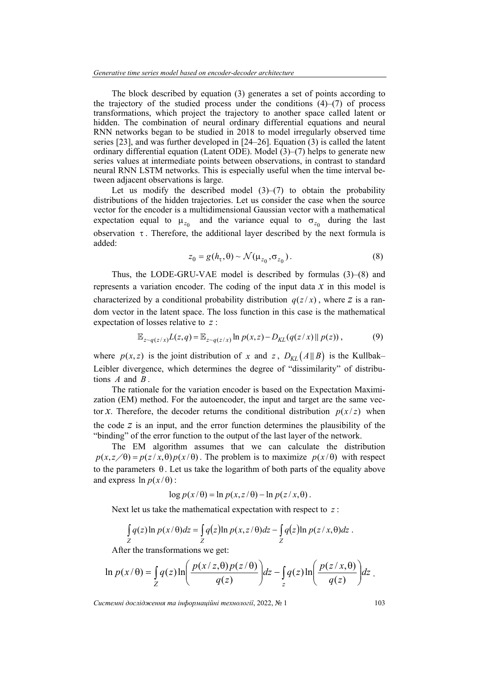The block described by equation (3) generates a set of points according to the trajectory of the studied process under the conditions  $(4)$ – $(7)$  of process transformations, which project the trajectory to another space called latent or hidden. The combination of neural ordinary differential equations and neural RNN networks began to be studied in 2018 to model irregularly observed time series [23], and was further developed in [24–26]. Equation (3) is called the latent ordinary differential equation (Latent ODE). Model  $(3)$ – $(7)$  helps to generate new series values at intermediate points between observations, in contrast to standard neural RNN LSTM networks. This is especially useful when the time interval between adjacent observations is large.

Let us modify the described model  $(3)$ – $(7)$  to obtain the probability distributions of the hidden trajectories. Let us consider the case when the source vector for the encoder is a multidimensional Gaussian vector with a mathematical expectation equal to  $\mu_{z_0}$  and the variance equal to  $\sigma_{z_0}$  during the last observation  $\tau$ . Therefore, the additional layer described by the next formula is added:

$$
z_0 = g(h_\tau, \theta) \sim \mathcal{N}(\mu_{z_0}, \sigma_{z_0}).
$$
\n(8)

Thus, the LODE-GRU-VAE model is described by formulas (3)–(8) and represents a variation encoder. The coding of the input data *x* in this model is characterized by a conditional probability distribution  $q(z/x)$ , where *z* is a random vector in the latent space. The loss function in this case is the mathematical expectation of losses relative to *z* :

$$
\mathbb{E}_{z \sim q(z/x)} L(z,q) = \mathbb{E}_{z \sim q(z/x)} \ln p(x,z) - D_{KL}(q(z/x) || p(z)),
$$
 (9)

where  $p(x, z)$  is the joint distribution of *x* and *z*,  $D_{KL}(A||B)$  is the Kullbak– Leibler divergence, which determines the degree of "dissimilarity" of distributions *A* and *B* .

The rationale for the variation encoder is based on the Expectation Maximization (EM) method. For the autoencoder, the input and target are the same vector *x*. Therefore, the decoder returns the conditional distribution  $p(x/z)$  when the code *z* is an input, and the error function determines the plausibility of the "binding" of the error function to the output of the last layer of the network.

The EM algorithm assumes that we can calculate the distribution  $p(x, z/\theta) = p(z/x, \theta)p(x/\theta)$ . The problem is to maximize  $p(x/\theta)$  with respect to the parameters  $\theta$ . Let us take the logarithm of both parts of the equality above and express  $\ln p(x/\theta)$ :

$$
\log p(x/\theta) = \ln p(x, z/\theta) - \ln p(z/x, \theta).
$$

Next let us take the mathematical expectation with respect to *z* :

$$
\int_{Z} q(z) \ln p(x/\theta) dz = \int_{Z} q(z) \ln p(x, z/\theta) dz - \int_{Z} q(z) \ln p(z/x, \theta) dz.
$$

After the transformations we get:

$$
\ln p(x/\theta) = \int_{Z} q(z) \ln \left( \frac{p(x/z, \theta) p(z/\theta)}{q(z)} \right) dz - \int_{z} q(z) \ln \left( \frac{p(z/x, \theta)}{q(z)} \right) dz.
$$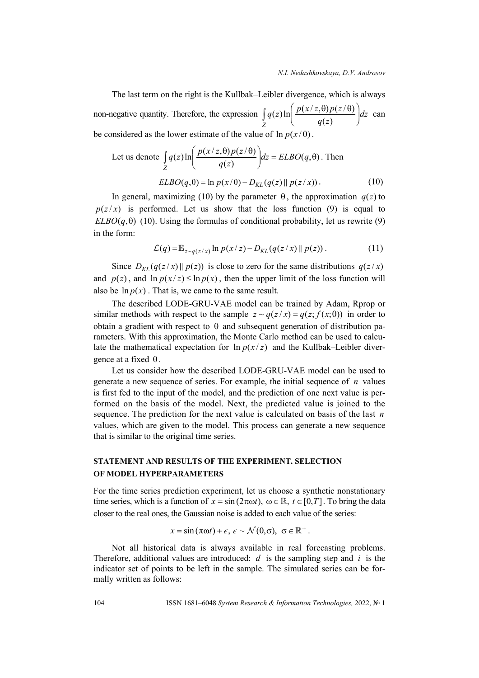The last term on the right is the Kullbak–Leibler divergence, which is always non-negative quantity. Therefore, the expression  $\int q(z) \ln \left| \frac{P(x, z, \sigma) P(z, \sigma)}{z} \right| dz$ *q z*  $q(z) \ln \left( \frac{p(x/z, \theta) p(z)}{p(z)} \right)$ *Z*  $\overline{\phantom{a}}$  $\overline{\phantom{a}}$  $\left( \right)$  $\parallel$  $\int_{Z} q(z) \ln \left( \frac{p(x/z, \theta) p(z/\theta)}{q(z)} \right) dz$  can be considered as the lower estimate of the value of  $\ln p(x/\theta)$ .

Let us denote 
$$
\int_{Z} q(z) \ln \left( \frac{p(x/z, \theta) p(z/\theta)}{q(z)} \right) dz = ELBO(q, \theta).
$$
 Then  

$$
ELBO(q, \theta) = \ln p(x/\theta) - D_{KL}(q(z) || p(z/x)).
$$
 (10)

In general, maximizing (10) by the parameter  $\theta$ , the approximation  $q(z)$  to  $p(z/x)$  is performed. Let us show that the loss function (9) is equal to *ELBO*( $q$ , $\theta$ ) (10). Using the formulas of conditional probability, let us rewrite (9) in the form:

$$
\mathcal{L}(q) = \mathbb{E}_{z \sim q(z/x)} \ln p(x/z) - D_{KL}(q(z/x) || p(z)) \,. \tag{11}
$$

Since  $D_{KL}(q(z/x) || p(z))$  is close to zero for the same distributions  $q(z/x)$ and  $p(z)$ , and  $\ln p(x/z) \leq \ln p(x)$ , then the upper limit of the loss function will also be  $\ln p(x)$ . That is, we came to the same result.

The described LODE-GRU-VAE model can be trained by Adam, Rprop or similar methods with respect to the sample  $z \sim q(z/x) = q(z; f(x; \theta))$  in order to obtain a gradient with respect to  $\theta$  and subsequent generation of distribution parameters. With this approximation, the Monte Carlo method can be used to calculate the mathematical expectation for  $\ln p(x/z)$  and the Kullbak–Leibler divergence at a fixed  $\theta$ .

Let us consider how the described LODE-GRU-VAE model can be used to generate a new sequence of series. For example, the initial sequence of *n* values is first fed to the input of the model, and the prediction of one next value is performed on the basis of the model. Next, the predicted value is joined to the sequence. The prediction for the next value is calculated on basis of the last *n* values, which are given to the model. This process can generate a new sequence that is similar to the original time series.

## **STATEMENT AND RESULTS OF THE EXPERIMENT. SELECTION OF MODEL HYPERPARAMETERS**

For the time series prediction experiment, let us choose a synthetic nonstationary time series, which is a function of  $x = \sin(2\pi\omega t)$ ,  $\omega \in \mathbb{R}$ ,  $t \in [0, T]$ . To bring the data closer to the real ones, the Gaussian noise is added to each value of the series:

$$
x = \sin(\pi \omega t) + \epsilon, \ \epsilon \sim \mathcal{N}(0, \sigma), \ \sigma \in \mathbb{R}^+.
$$

Not all historical data is always available in real forecasting problems. Therefore, additional values are introduced: *d* is the sampling step and *i* is the indicator set of points to be left in the sample. The simulated series can be formally written as follows: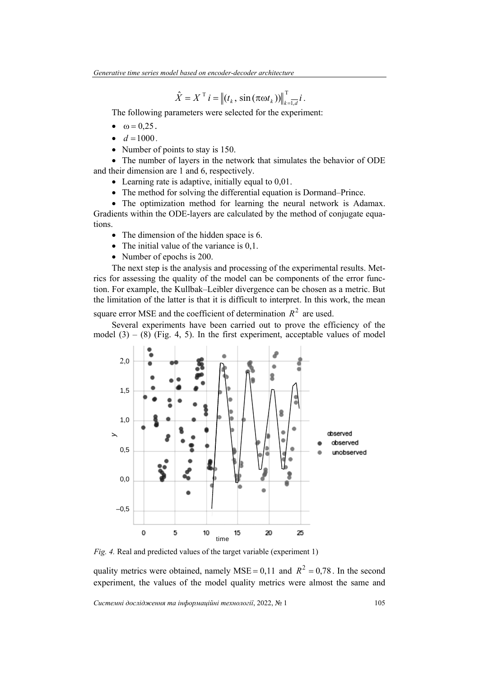$$
\hat{X} = X^T i = || (t_k, \sin(\pi \omega t_k)) ||_{k=\overline{1,d}}^T i.
$$

The following parameters were selected for the experiment:

- $\bullet$   $\omega = 0.25$ .
- $d = 1000$ .
- Number of points to stay is 150.

• The number of layers in the network that simulates the behavior of ODE and their dimension are 1 and 6, respectively.

- Learning rate is adaptive, initially equal to 0,01.
- The method for solving the differential equation is Dormand–Prince.

• The optimization method for learning the neural network is Adamax. Gradients within the ODE-layers are calculated by the method of conjugate equations.

- The dimension of the hidden space is 6.
- The initial value of the variance is 0,1.
- Number of epochs is 200.

The next step is the analysis and processing of the experimental results. Metrics for assessing the quality of the model can be components of the error function. For example, the Kullbak–Leibler divergence can be chosen as a metric. But the limitation of the latter is that it is difficult to interpret. In this work, the mean square error MSE and the coefficient of determination  $R^2$  are used.

Several experiments have been carried out to prove the efficiency of the model  $(3) - (8)$  (Fig. 4, 5). In the first experiment, acceptable values of model



*Fig. 4.* Real and predicted values of the target variable (experiment 1)

quality metrics were obtained, namely MSE = 0,11 and  $R^2 = 0.78$ . In the second experiment, the values of the model quality metrics were almost the same and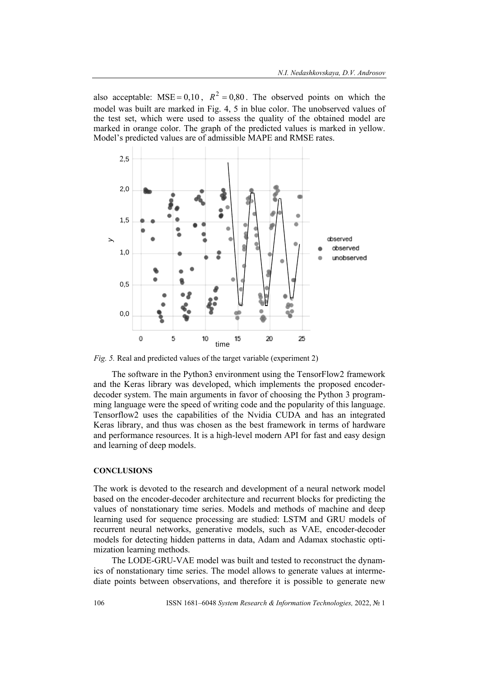also acceptable: MSE =  $0, 10$ ,  $R^2 = 0, 80$ . The observed points on which the model was built are marked in Fig. 4, 5 in blue color. The unobserved values of the test set, which were used to assess the quality of the obtained model are marked in orange color. The graph of the predicted values is marked in yellow. Model's predicted values are of admissible MAPE and RMSE rates.



*Fig. 5.* Real and predicted values of the target variable (experiment 2)

The software in the Python3 environment using the TensorFlow2 framework and the Keras library was developed, which implements the proposed encoderdecoder system. The main arguments in favor of choosing the Python 3 programming language were the speed of writing code and the popularity of this language. Tensorflow2 uses the capabilities of the Nvidia CUDA and has an integrated Keras library, and thus was chosen as the best framework in terms of hardware and performance resources. It is a high-level modern API for fast and easy design and learning of deep models.

## **CONCLUSIONS**

The work is devoted to the research and development of a neural network model based on the encoder-decoder architecture and recurrent blocks for predicting the values of nonstationary time series. Models and methods of machine and deep learning used for sequence processing are studied: LSTM and GRU models of recurrent neural networks, generative models, such as VAE, encoder-decoder models for detecting hidden patterns in data, Adam and Adamax stochastic optimization learning methods.

The LODE-GRU-VAE model was built and tested to reconstruct the dynamics of nonstationary time series. The model allows to generate values at intermediate points between observations, and therefore it is possible to generate new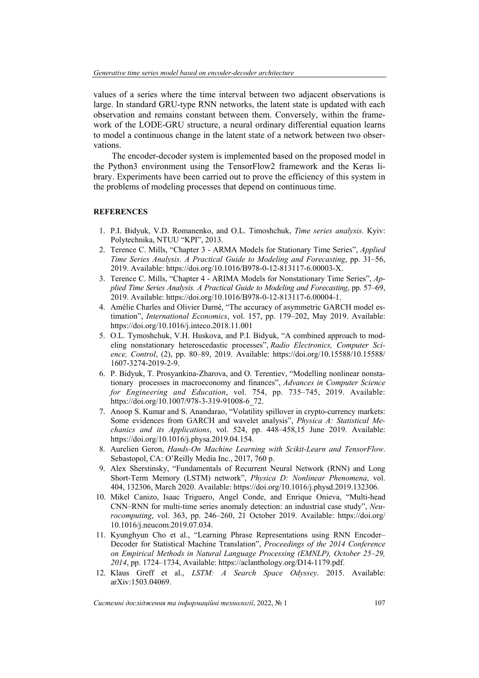values of a series where the time interval between two adjacent observations is large. In standard GRU-type RNN networks, the latent state is updated with each observation and remains constant between them. Conversely, within the framework of the LODE-GRU structure, a neural ordinary differential equation learns to model a continuous change in the latent state of a network between two observations.

The encoder-decoder system is implemented based on the proposed model in the Python3 environment using the TensorFlow2 framework and the Keras library. Experiments have been carried out to prove the efficiency of this system in the problems of modeling processes that depend on continuous time.

## **REFERENCES**

- 1. P.I. Bidyuk, V.D. Romanenko, and O.L. Timoshchuk, *Time series analysis*. Kyiv: Polytechnika, NTUU "KPI", 2013.
- 2. Terence C. Mills, "Chapter 3 ARMA Models for Stationary Time Series", *Applied Time Series Analysis. A Practical Guide to Modeling and Forecasting*, pp. 31–56, 2019. Available: https://doi.org/10.1016/B978-0-12-813117-6.00003-X.
- 3. Terence C. Mills, "Chapter 4 ARIMA Models for Nonstationary Time Series", *Applied Time Series Analysis. A Practical Guide to Modeling and Forecasting*, pp. 57–69, 2019. Available: https://doi.org/10.1016/B978-0-12-813117-6.00004-1.
- 4. Amélie Charles and Olivier Darné, "The accuracy of asymmetric GARCH model estimation", *International Economics*, vol. 157, pp. 179–202, May 2019. Available: https://doi.org/10.1016/j.inteco.2018.11.001
- 5. O.L. Tymoshchuk, V.H. Huskova, and P.I. Bidyuk, "A combined approach to modeling nonstationary heteroscedastic processes", *Radio Electronics, Computer Science, Control*, (2), pp. 80–89, 2019. Available: https://doi.org/10.15588/10.15588/ 1607-3274-2019-2-9.
- 6. P. Bidyuk, T. Prosyankina-Zharova, and O. Terentiev, "Modelling nonlinear nonstationary processes in macroeconomy and finances", *Advances in Computer Science for Engineering and Education*, vol. 754, pp. 735–745, 2019. Available: https://doi.org/10.1007/978-3-319-91008-6\_72.
- 7. Anoop S. Kumar and S. Anandarao, "Volatility spillover in crypto-currency markets: Some evidences from GARCH and wavelet analysis", *Physica A: Statistical Mechanics and its Applications*, vol. 524, pp. 448–458,15 June 2019. Available: https://doi.org/10.1016/j.physa.2019.04.154.
- 8. Aurelien Geron, *Hands-On Machine Learning with Scikit-Learn and TensorFlow*. Sebastopol, CA: O'Reilly Media Inc., 2017, 760 p.
- 9. Alex Sherstinsky, "Fundamentals of Recurrent Neural Network (RNN) and Long Short-Term Memory (LSTM) network", *Physica D: Nonlinear Phenomena*, vol. 404, 132306, March 2020. Available: https://doi.org/10.1016/j.physd.2019.132306.
- 10. Mikel Canizo, Isaac Triguero, Angel Conde, and Enrique Onieva, "Multi-head CNN–RNN for multi-time series anomaly detection: an industrial case study", *Neurocomputing*, vol. 363, pp. 246–260, 21 October 2019. Available: https://doi.org/ 10.1016/j.neucom.2019.07.034.
- 11. Kyunghyun Cho et al., "Learning Phrase Representations using RNN Encoder– Decoder for Statistical Machine Translation", *Proceedings of the 2014 Conference on Empirical Methods in Natural Language Processing (EMNLP), October 25–29, 2014*, pp. 1724–1734, Available: https://aclanthology.org/D14-1179.pdf.
- 12. Klaus Greff et al., *LSTM: A Search Space Odyssey*. 2015. Available: arXiv:1503.04069.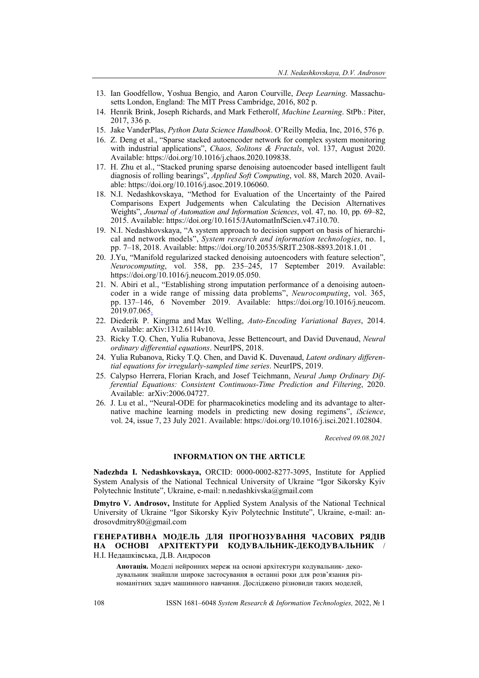- 13. Ian Goodfellow, Yoshua Bengio, and Aaron Courville, *Deep Learning*. Massachusetts London, England: The MIT Press Cambridge, 2016, 802 p.
- 14. Henrik Brink, Joseph Richards, and Mark Fetherolf, *Machine Learning*. StPb.: Piter, 2017, 336 p.
- 15. Jake VanderPlas, *Python Data Science Handbook*. O'Reilly Media, Inc, 2016, 576 p.
- 16. Z. Deng et al., "Sparse stacked autoencoder network for complex system monitoring with industrial applications", *Chaos, Solitons & Fractals*, vol. 137, August 2020. Available: https://doi.org/10.1016/j.chaos.2020.109838.
- 17. H. Zhu et al., "Stacked pruning sparse denoising autoencoder based intelligent fault diagnosis of rolling bearings", *Applied Soft Computing*, vol. 88, March 2020. Available: https://doi.org/10.1016/j.asoc.2019.106060.
- 18. N.I. Nedashkovskaya, "Method for Evaluation of the Uncertainty of the Paired Comparisons Expert Judgements when Calculating the Decision Alternatives Weights", *Journal of Automation and Information Sciences*, vol. 47, no. 10, pp. 69–82, 2015. Available: https://doi.org/10.1615/JAutomatInfScien.v47.i10.70.
- 19. N.I. Nedashkovskaya, "A system approach to decision support on basis of hierarchical and network models", *System research and information technologies*, no. 1, pp. 7–18, 2018. Available: https://doi.org/10.20535/SRIT.2308-8893.2018.1.01 .
- 20. J.Yu, "Manifold regularized stacked denoising autoencoders with feature selection", *Neurocomputing*, vol. 358, pp. 235–245, 17 September 2019. Available: https://doi.org/10.1016/j.neucom.2019.05.050.
- 21. N. Abiri et al., "Establishing strong imputation performance of a denoising autoencoder in a wide range of missing data problems", *Neurocomputing*, vol. 365, pp. 137–146, 6 November 2019. Available: https://doi.org/10.1016/j.neucom. 2019.07.065.
- 22. Diederik P. Kingma and Max Welling, *Auto-Encoding Variational Bayes*, 2014. Available: arXiv:1312.6114v10.
- 23. Ricky T.Q. Chen, Yulia Rubanova, Jesse Bettencourt, and David Duvenaud, *Neural ordinary differential equations*. NeurIPS, 2018.
- 24. Yulia Rubanova, Ricky T.Q. Chen, and David K. Duvenaud, *Latent ordinary differential equations for irregularly-sampled time series*. NeurIPS, 2019.
- 25. Calypso Herrera, Florian Krach, and Josef Teichmann, *Neural Jump Ordinary Differential Equations: Consistent Continuous-Time Prediction and Filtering*, 2020. Available: arXiv:2006.04727.
- 26. J. Lu et al., "Neural-ODE for pharmacokinetics modeling and its advantage to alternative machine learning models in predicting new dosing regimens", *iScience*, vol. 24, issue 7, 23 July 2021. Available: https://doi.org/10.1016/j.isci.2021.102804.

*Received 09.08.2021* 

#### **INFORMATION ON THE ARTICLE**

**Nadezhda I. Nedashkovskaya,** ORCID: 0000-0002-8277-3095, Institute for Applied System Analysis of the National Technical University of Ukraine "Igor Sikorsky Kyiv Polytechnic Institute", Ukraine, e-mail: n.nedashkivska@gmail.com

**Dmytro V. Androsov,** Institute for Applied System Analysis of the National Technical University of Ukraine "Igor Sikorsky Kyiv Polytechnic Institute", Ukraine, e-mail: androsovdmitry80@gmail.com

### **ГЕНЕРАТИВНА МОДЕЛЬ ДЛЯ ПРОГНОЗУВАННЯ ЧАСОВИХ РЯДІВ НА ОСНОВІ АРХІТЕКТУРИ КОДУВАЛЬНИК-ДЕКОДУВАЛЬНИК** / Н.І. Недашківська, Д.В. Андросов

**Анотація.** Моделі нейронних мереж на основі архітектури кодувальник- декодувальник знайшли широке застосування в останні роки для розв'язання різноманітних задач машинного навчання. Досліджено різновиди таких моделей,